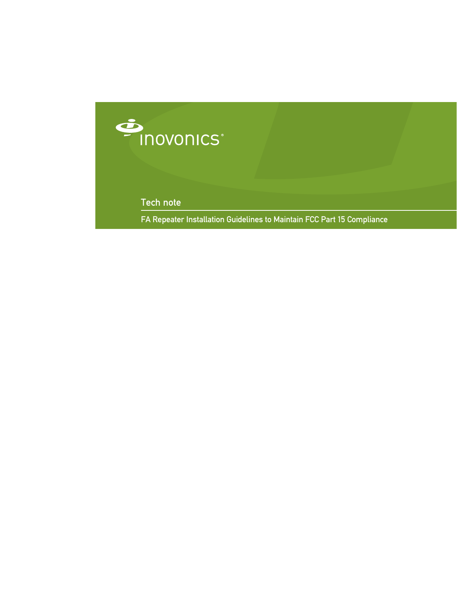

Tech note

FA Repeater Installation Guidelines to Maintain FCC Part 15 Compliance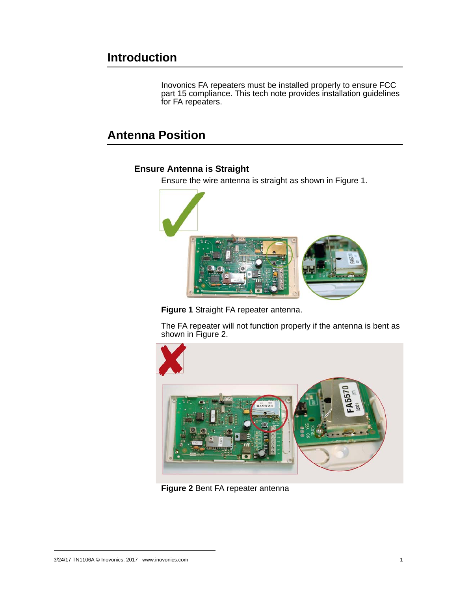## **Introduction**

Inovonics FA repeaters must be installed properly to ensure FCC part 15 compliance. This tech note provides installation guidelines for FA repeaters.

## **Antenna Position**

### **Ensure Antenna is Straight**

Ensure the wire antenna is straight as shown in Figure 1.





The FA repeater will not function properly if the antenna is bent as shown in Figure 2.



**Figure 2** Bent FA repeater antenna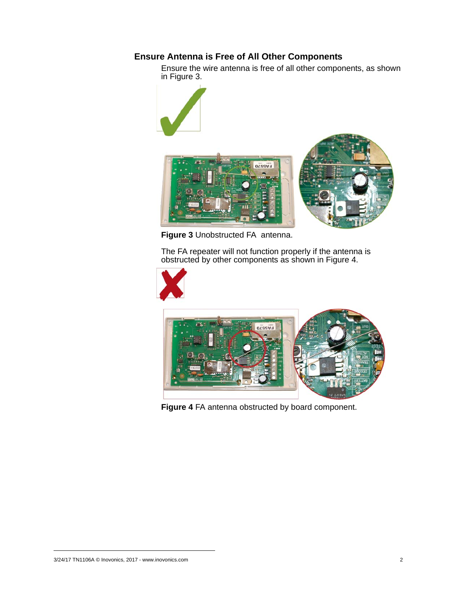### **Ensure Antenna is Free of All Other Components**

Ensure the wire antenna is free of all other components, as shown in Figure 3.



**Figure 3** Unobstructed FA antenna.

The FA repeater will not function properly if the antenna is obstructed by other components as shown in Figure 4.





**Figure 4** FA antenna obstructed by board component.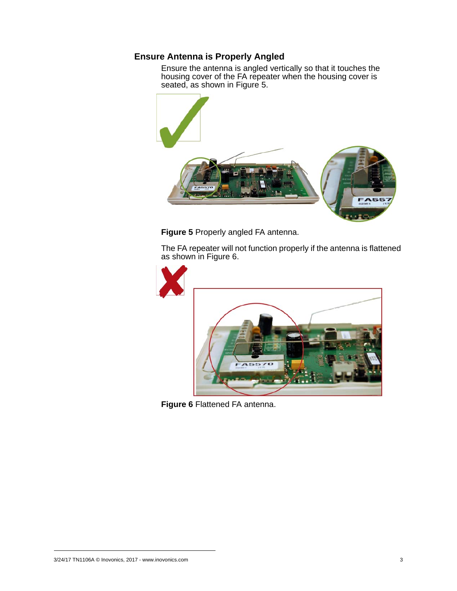#### **Ensure Antenna is Properly Angled**

Ensure the antenna is angled vertically so that it touches the housing cover of the FA repeater when the housing cover is seated, as shown in Figure 5.



**Figure 5** Properly angled FA antenna.

The FA repeater will not function properly if the antenna is flattened as shown in Figure 6.



**Figure 6** Flattened FA antenna.